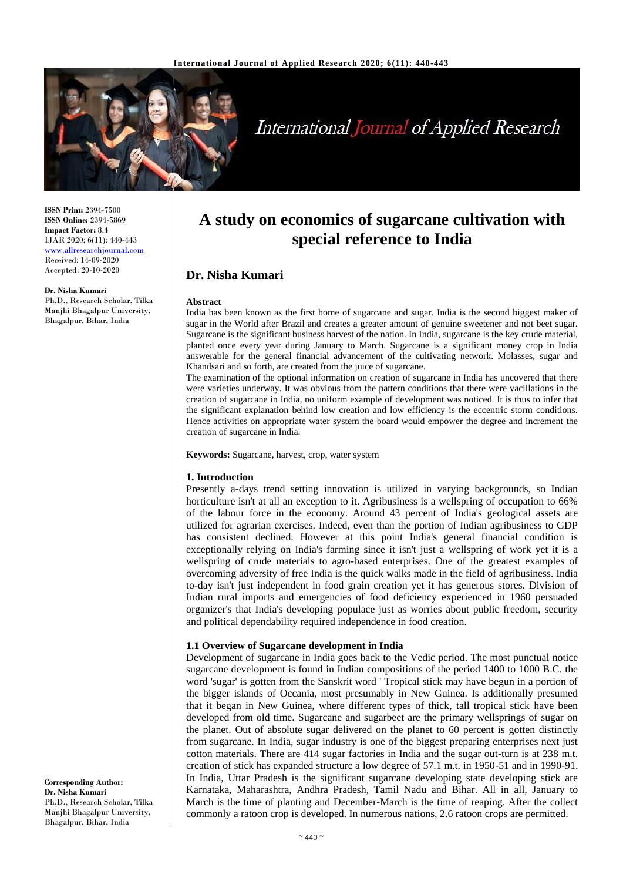

# **International Journal of Applied Research**

**ISSN Print:** 2394-7500 **ISSN Online:** 2394-5869 **Impact Factor:** 8.4 IJAR 2020; 6(11): 440-443 [www.allresearchjournal.com](http://www.allresearchjournal.com/) Received: 14-09-2020 Accepted: 20-10-2020

**Dr. Nisha Kumari**

Ph.D., Research Scholar, Tilka Manjhi Bhagalpur University, Bhagalpur, Bihar, India

# **A study on economics of sugarcane cultivation with special reference to India**

# **Dr. Nisha Kumari**

#### **Abstract**

India has been known as the first home of sugarcane and sugar. India is the second biggest maker of sugar in the World after Brazil and creates a greater amount of genuine sweetener and not beet sugar. Sugarcane is the significant business harvest of the nation. In India, sugarcane is the key crude material, planted once every year during January to March. Sugarcane is a significant money crop in India answerable for the general financial advancement of the cultivating network. Molasses, sugar and Khandsari and so forth, are created from the juice of sugarcane.

The examination of the optional information on creation of sugarcane in India has uncovered that there were varieties underway. It was obvious from the pattern conditions that there were vacillations in the creation of sugarcane in India, no uniform example of development was noticed. It is thus to infer that the significant explanation behind low creation and low efficiency is the eccentric storm conditions. Hence activities on appropriate water system the board would empower the degree and increment the creation of sugarcane in India.

**Keywords:** Sugarcane, harvest, crop, water system

## **1. Introduction**

Presently a-days trend setting innovation is utilized in varying backgrounds, so Indian horticulture isn't at all an exception to it. Agribusiness is a wellspring of occupation to 66% of the labour force in the economy. Around 43 percent of India's geological assets are utilized for agrarian exercises. Indeed, even than the portion of Indian agribusiness to GDP has consistent declined. However at this point India's general financial condition is exceptionally relying on India's farming since it isn't just a wellspring of work yet it is a wellspring of crude materials to agro-based enterprises. One of the greatest examples of overcoming adversity of free India is the quick walks made in the field of agribusiness. India to-day isn't just independent in food grain creation yet it has generous stores. Division of Indian rural imports and emergencies of food deficiency experienced in 1960 persuaded organizer's that India's developing populace just as worries about public freedom, security and political dependability required independence in food creation.

# **1.1 Overview of Sugarcane development in India**

Development of sugarcane in India goes back to the Vedic period. The most punctual notice sugarcane development is found in Indian compositions of the period 1400 to 1000 B.C. the word 'sugar' is gotten from the Sanskrit word ' Tropical stick may have begun in a portion of the bigger islands of Occania, most presumably in New Guinea. Is additionally presumed that it began in New Guinea, where different types of thick, tall tropical stick have been developed from old time. Sugarcane and sugarbeet are the primary wellsprings of sugar on the planet. Out of absolute sugar delivered on the planet to 60 percent is gotten distinctly from sugarcane. In India, sugar industry is one of the biggest preparing enterprises next just cotton materials. There are 414 sugar factories in India and the sugar out-turn is at 238 m.t. creation of stick has expanded structure a low degree of 57.1 m.t. in 1950-51 and in 1990-91. In India, Uttar Pradesh is the significant sugarcane developing state developing stick are Karnataka, Maharashtra, Andhra Pradesh, Tamil Nadu and Bihar. All in all, January to March is the time of planting and December-March is the time of reaping. After the collect commonly a ratoon crop is developed. In numerous nations, 2.6 ratoon crops are permitted.

**Corresponding Author: Dr. Nisha Kumari** Ph.D., Research Scholar, Tilka Manjhi Bhagalpur University, Bhagalpur, Bihar, India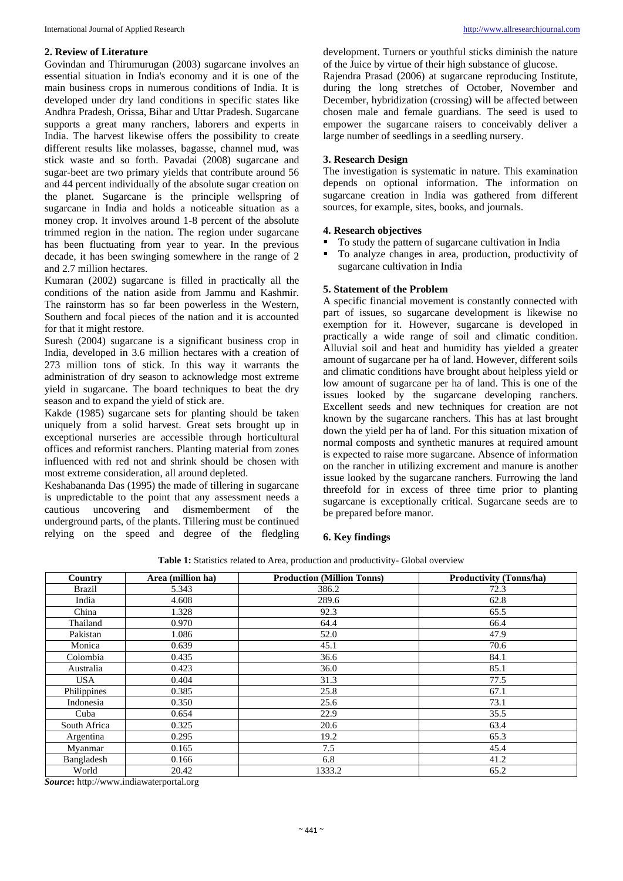## **2. Review of Literature**

Govindan and Thirumurugan (2003) sugarcane involves an essential situation in India's economy and it is one of the main business crops in numerous conditions of India. It is developed under dry land conditions in specific states like Andhra Pradesh, Orissa, Bihar and Uttar Pradesh. Sugarcane supports a great many ranchers, laborers and experts in India. The harvest likewise offers the possibility to create different results like molasses, bagasse, channel mud, was stick waste and so forth. Pavadai (2008) sugarcane and sugar-beet are two primary yields that contribute around 56 and 44 percent individually of the absolute sugar creation on the planet. Sugarcane is the principle wellspring of sugarcane in India and holds a noticeable situation as a money crop. It involves around 1-8 percent of the absolute trimmed region in the nation. The region under sugarcane has been fluctuating from year to year. In the previous decade, it has been swinging somewhere in the range of 2 and 2.7 million hectares.

Kumaran (2002) sugarcane is filled in practically all the conditions of the nation aside from Jammu and Kashmir. The rainstorm has so far been powerless in the Western, Southern and focal pieces of the nation and it is accounted for that it might restore.

Suresh (2004) sugarcane is a significant business crop in India, developed in 3.6 million hectares with a creation of 273 million tons of stick. In this way it warrants the administration of dry season to acknowledge most extreme yield in sugarcane. The board techniques to beat the dry season and to expand the yield of stick are.

Kakde (1985) sugarcane sets for planting should be taken uniquely from a solid harvest. Great sets brought up in exceptional nurseries are accessible through horticultural offices and reformist ranchers. Planting material from zones influenced with red not and shrink should be chosen with most extreme consideration, all around depleted.

Keshabananda Das (1995) the made of tillering in sugarcane is unpredictable to the point that any assessment needs a cautious uncovering and dismemberment of the underground parts, of the plants. Tillering must be continued relying on the speed and degree of the fledgling development. Turners or youthful sticks diminish the nature of the Juice by virtue of their high substance of glucose.

Rajendra Prasad (2006) at sugarcane reproducing Institute, during the long stretches of October, November and December, hybridization (crossing) will be affected between chosen male and female guardians. The seed is used to empower the sugarcane raisers to conceivably deliver a large number of seedlings in a seedling nursery.

# **3. Research Design**

The investigation is systematic in nature. This examination depends on optional information. The information on sugarcane creation in India was gathered from different sources, for example, sites, books, and journals.

# **4. Research objectives**

- To study the pattern of sugarcane cultivation in India
- To analyze changes in area, production, productivity of sugarcane cultivation in India

#### **5. Statement of the Problem**

A specific financial movement is constantly connected with part of issues, so sugarcane development is likewise no exemption for it. However, sugarcane is developed in practically a wide range of soil and climatic condition. Alluvial soil and heat and humidity has yielded a greater amount of sugarcane per ha of land. However, different soils and climatic conditions have brought about helpless yield or low amount of sugarcane per ha of land. This is one of the issues looked by the sugarcane developing ranchers. Excellent seeds and new techniques for creation are not known by the sugarcane ranchers. This has at last brought down the yield per ha of land. For this situation mixation of normal composts and synthetic manures at required amount is expected to raise more sugarcane. Absence of information on the rancher in utilizing excrement and manure is another issue looked by the sugarcane ranchers. Furrowing the land threefold for in excess of three time prior to planting sugarcane is exceptionally critical. Sugarcane seeds are to be prepared before manor.

## **6. Key findings**

| Table 1: Statistics related to Area, production and productivity- Global overview |  |  |
|-----------------------------------------------------------------------------------|--|--|
|-----------------------------------------------------------------------------------|--|--|

| Country       | Area (million ha) | <b>Production (Million Tonns)</b> | <b>Productivity (Tonns/ha)</b> |
|---------------|-------------------|-----------------------------------|--------------------------------|
| <b>Brazil</b> | 5.343             | 386.2                             | 72.3                           |
| India         | 4.608             | 289.6                             | 62.8                           |
| China         | 1.328             | 92.3                              | 65.5                           |
| Thailand      | 0.970             | 64.4                              | 66.4                           |
| Pakistan      | 1.086             | 52.0                              | 47.9                           |
| Monica        | 0.639             | 45.1                              | 70.6                           |
| Colombia      | 0.435             | 36.6                              | 84.1                           |
| Australia     | 0.423             | 36.0                              | 85.1                           |
| <b>USA</b>    | 0.404             | 31.3                              | 77.5                           |
| Philippines   | 0.385             | 25.8                              | 67.1                           |
| Indonesia     | 0.350             | 25.6                              | 73.1                           |
| Cuba          | 0.654             | 22.9                              | 35.5                           |
| South Africa  | 0.325             | 20.6                              | 63.4                           |
| Argentina     | 0.295             | 19.2                              | 65.3                           |
| Myanmar       | 0.165             | 7.5                               | 45.4                           |
| Bangladesh    | 0.166             | 6.8                               | 41.2                           |
| World         | 20.42             | 1333.2                            | 65.2                           |

*Source***:** http://www.indiawaterportal.org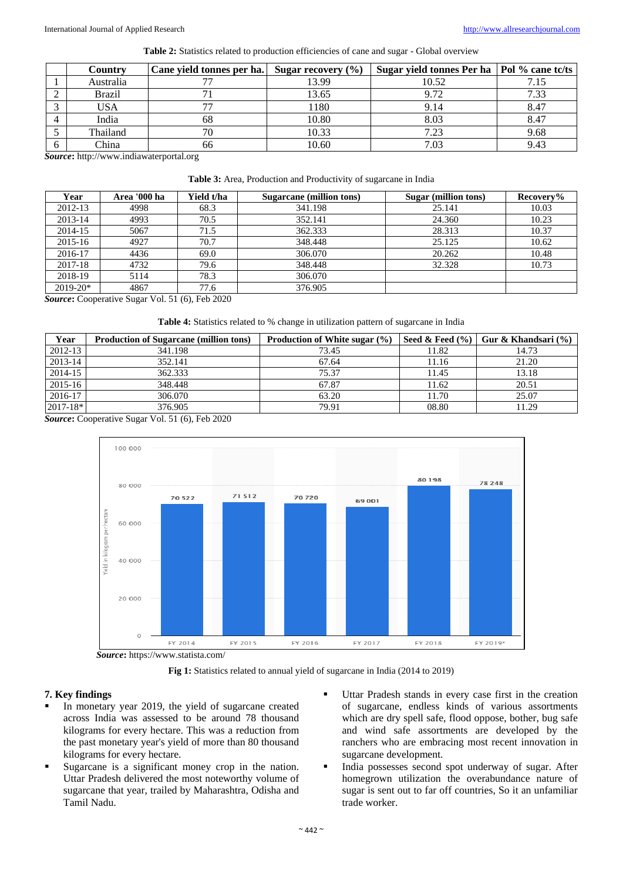**Table 2:** Statistics related to production efficiencies of cane and sugar - Global overview

| Country       | Cane yield tonnes per ha. | Sugar recovery $(\% )$ | Sugar yield tonnes Per ha   Pol % cane tc/ts |      |
|---------------|---------------------------|------------------------|----------------------------------------------|------|
| Australia     |                           | 13.99                  | 10.52                                        |      |
| <b>Brazil</b> |                           | 13.65                  | 9.72                                         | 7.33 |
| USA           |                           | 1180                   | 9.14                                         | 8.47 |
| India         | 68                        | 10.80                  | 8.03                                         | 8.47 |
| Thailand      |                           | 10.33                  | 7.23                                         | 9.68 |
| China         | 66                        | 10.60                  | 7.03                                         | 9.43 |

*Source***:** http://www.indiawaterportal.org

**Table 3:** Area, Production and Productivity of sugarcane in India

| Year         | Area '000 ha | Yield t/ha | Sugarcane (million tons) | Sugar (million tons) | Recovery% |
|--------------|--------------|------------|--------------------------|----------------------|-----------|
| 2012-13      | 4998         | 68.3       | 341.198                  | 25.141               | 10.03     |
| 2013-14      | 4993         | 70.5       | 352.141                  | 24.360               | 10.23     |
| 2014-15      | 5067         | 71.5       | 362.333                  | 28.313               | 10.37     |
| 2015-16      | 4927         | 70.7       | 348.448                  | 25.125               | 10.62     |
| 2016-17      | 4436         | 69.0       | 306.070                  | 20.262               | 10.48     |
| 2017-18      | 4732         | 79.6       | 348.448                  | 32.328               | 10.73     |
| 2018-19      | 5114         | 78.3       | 306.070                  |                      |           |
| $2019 - 20*$ | 4867         | 77.6       | 376.905                  |                      |           |

*Source***:** Cooperative Sugar Vol. 51 (6), Feb 2020

**Table 4:** Statistics related to % change in utilization pattern of sugarcane in India

| Year         | <b>Production of Sugarcane (million tons)</b> | Production of White sugar $(\% )$ | Seed & Feed $(\% )$ | Gur & Khandsari $(\% )$ |
|--------------|-----------------------------------------------|-----------------------------------|---------------------|-------------------------|
| 2012-13      | 341.198                                       | 73.45                             | 11.82               | 14.73                   |
| 2013-14      | 352.141                                       | 67.64                             | 11.16               | 21.20                   |
| 2014-15      | 362.333                                       | 75.37                             | 11.45               | 13.18                   |
| $2015 - 16$  | 348.448                                       | 67.87                             | 11.62               | 20.51                   |
| 2016-17      | 306.070                                       | 63.20                             | 11.70               | 25.07                   |
| $2017 - 18*$ | 376.905                                       | 79.91                             | 08.80               | 11.29                   |

*Source***:** Cooperative Sugar Vol. 51 (6), Feb 2020



Fig 1: Statistics related to annual yield of sugarcane in India (2014 to 2019)

## **7. Key findings**

- In monetary year 2019, the yield of sugarcane created across India was assessed to be around 78 thousand kilograms for every hectare. This was a reduction from the past monetary year's yield of more than 80 thousand kilograms for every hectare.
- Sugarcane is a significant money crop in the nation. Uttar Pradesh delivered the most noteworthy volume of sugarcane that year, trailed by Maharashtra, Odisha and Tamil Nadu.
- Uttar Pradesh stands in every case first in the creation of sugarcane, endless kinds of various assortments which are dry spell safe, flood oppose, bother, bug safe and wind safe assortments are developed by the ranchers who are embracing most recent innovation in sugarcane development.
- India possesses second spot underway of sugar. After homegrown utilization the overabundance nature of sugar is sent out to far off countries, So it an unfamiliar trade worker.